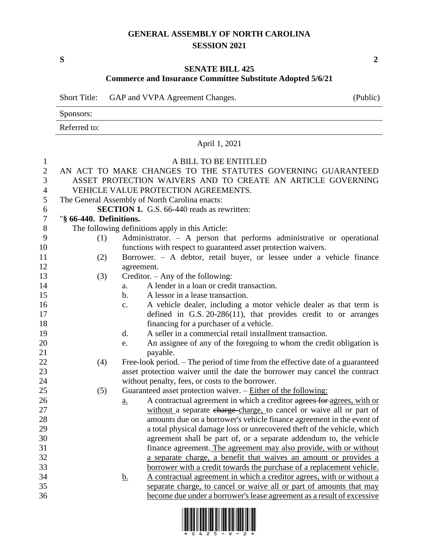## **GENERAL ASSEMBLY OF NORTH CAROLINA SESSION 2021**

**S 2**

## **SENATE BILL 425**

## **Commerce and Insurance Committee Substitute Adopted 5/6/21**

Short Title: GAP and VVPA Agreement Changes. (Public)

|                | Sponsors:               |                                                                                                                    |  |  |  |
|----------------|-------------------------|--------------------------------------------------------------------------------------------------------------------|--|--|--|
|                | Referred to:            |                                                                                                                    |  |  |  |
| April 1, 2021  |                         |                                                                                                                    |  |  |  |
| $\mathbf{1}$   |                         | A BILL TO BE ENTITLED                                                                                              |  |  |  |
| $\mathfrak{2}$ |                         | AN ACT TO MAKE CHANGES TO THE STATUTES GOVERNING GUARANTEED                                                        |  |  |  |
| 3              |                         | ASSET PROTECTION WAIVERS AND TO CREATE AN ARTICLE GOVERNING                                                        |  |  |  |
| 4              |                         | VEHICLE VALUE PROTECTION AGREEMENTS.                                                                               |  |  |  |
| 5              |                         | The General Assembly of North Carolina enacts:                                                                     |  |  |  |
| 6              |                         | <b>SECTION 1.</b> G.S. 66-440 reads as rewritten:                                                                  |  |  |  |
| 7              | "§ 66-440. Definitions. |                                                                                                                    |  |  |  |
| 8              |                         | The following definitions apply in this Article:                                                                   |  |  |  |
| 9              | (1)                     | Administrator. - A person that performs administrative or operational                                              |  |  |  |
| 10             |                         | functions with respect to guaranteed asset protection waivers.                                                     |  |  |  |
| 11             | (2)                     | Borrower. - A debtor, retail buyer, or lessee under a vehicle finance                                              |  |  |  |
| 12             |                         | agreement.                                                                                                         |  |  |  |
| 13             | (3)                     | Creditor. $-$ Any of the following:                                                                                |  |  |  |
| 14             |                         | A lender in a loan or credit transaction.<br>a.                                                                    |  |  |  |
| 15             |                         | A lessor in a lease transaction.<br>b.                                                                             |  |  |  |
| 16             |                         | A vehicle dealer, including a motor vehicle dealer as that term is<br>$\mathbf{c}$ .                               |  |  |  |
| 17             |                         | defined in G.S. $20-286(11)$ , that provides credit to or arranges                                                 |  |  |  |
| 18             |                         | financing for a purchaser of a vehicle.                                                                            |  |  |  |
| 19             |                         | A seller in a commercial retail installment transaction.<br>$\mathbf{d}$ .                                         |  |  |  |
| 20             |                         | An assignee of any of the foregoing to whom the credit obligation is<br>e.                                         |  |  |  |
| 21             |                         | payable.                                                                                                           |  |  |  |
| 22             | (4)                     | Free-look period. – The period of time from the effective date of a guaranteed                                     |  |  |  |
| 23             |                         | asset protection waiver until the date the borrower may cancel the contract                                        |  |  |  |
| 24<br>25       | (5)                     | without penalty, fees, or costs to the borrower.<br>Guaranteed asset protection waiver. - Either of the following: |  |  |  |
| 26             |                         | A contractual agreement in which a creditor agrees for agrees, with or<br>$a_{\cdot}$                              |  |  |  |
| 27             |                         | without a separate charge-charge, to cancel or waive all or part of                                                |  |  |  |
| 28             |                         | amounts due on a borrower's vehicle finance agreement in the event of                                              |  |  |  |
| 29             |                         | a total physical damage loss or unrecovered theft of the vehicle, which                                            |  |  |  |
| 30             |                         | agreement shall be part of, or a separate addendum to, the vehicle                                                 |  |  |  |
| 31             |                         | finance agreement. The agreement may also provide, with or without                                                 |  |  |  |
| 32             |                         | a separate charge, a benefit that waives an amount or provides a                                                   |  |  |  |
| 33             |                         | borrower with a credit towards the purchase of a replacement vehicle.                                              |  |  |  |
| 34             |                         | A contractual agreement in which a creditor agrees, with or without a<br><u>b.</u>                                 |  |  |  |
| 35             |                         | separate charge, to cancel or waive all or part of amounts that may                                                |  |  |  |
| 36             |                         | become due under a borrower's lease agreement as a result of excessive                                             |  |  |  |
|                |                         |                                                                                                                    |  |  |  |

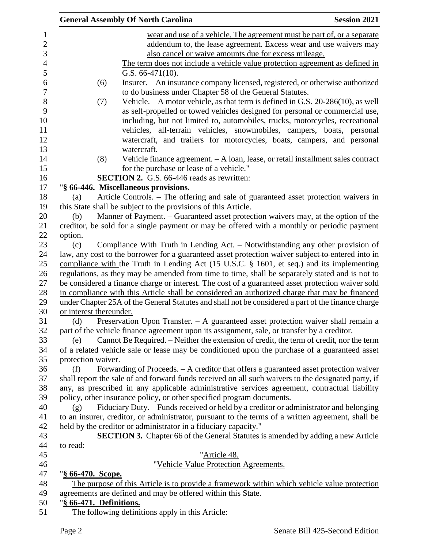|                         | <b>General Assembly Of North Carolina</b>                                                            | <b>Session 2021</b> |
|-------------------------|------------------------------------------------------------------------------------------------------|---------------------|
|                         | wear and use of a vehicle. The agreement must be part of, or a separate                              |                     |
|                         | addendum to, the lease agreement. Excess wear and use waivers may                                    |                     |
|                         | also cancel or waive amounts due for excess mileage.                                                 |                     |
|                         | The term does not include a vehicle value protection agreement as defined in                         |                     |
|                         | G.S. $66-471(10)$ .                                                                                  |                     |
| (6)                     | Insurer. - An insurance company licensed, registered, or otherwise authorized                        |                     |
|                         | to do business under Chapter 58 of the General Statutes.                                             |                     |
| (7)                     | Vehicle. $-A$ motor vehicle, as that term is defined in G.S. 20-286(10), as well                     |                     |
|                         | as self-propelled or towed vehicles designed for personal or commercial use,                         |                     |
|                         | including, but not limited to, automobiles, trucks, motorcycles, recreational                        |                     |
|                         | vehicles, all-terrain vehicles, snowmobiles, campers, boats, personal                                |                     |
|                         | watercraft, and trailers for motorcycles, boats, campers, and personal                               |                     |
|                         | watercraft.                                                                                          |                     |
| (8)                     | Vehicle finance agreement. - A loan, lease, or retail installment sales contract                     |                     |
|                         | for the purchase or lease of a vehicle."                                                             |                     |
|                         | <b>SECTION 2.</b> G.S. 66-446 reads as rewritten:                                                    |                     |
|                         | "§ 66-446. Miscellaneous provisions.                                                                 |                     |
| (a)                     | Article Controls. – The offering and sale of guaranteed asset protection waivers in                  |                     |
|                         | this State shall be subject to the provisions of this Article.                                       |                     |
| (b)                     | Manner of Payment. – Guaranteed asset protection waivers may, at the option of the                   |                     |
|                         | creditor, be sold for a single payment or may be offered with a monthly or periodic payment          |                     |
| option.                 |                                                                                                      |                     |
| (c)                     | Compliance With Truth in Lending Act. - Notwithstanding any other provision of                       |                     |
|                         | law, any cost to the borrower for a guaranteed asset protection waiver subject to entered into in    |                     |
|                         | compliance with the Truth in Lending Act $(15 \text{ U.S.C. } § 1601, et seq.)$ and its implementing |                     |
|                         | regulations, as they may be amended from time to time, shall be separately stated and is not to      |                     |
|                         | be considered a finance charge or interest. The cost of a guaranteed asset protection waiver sold    |                     |
|                         | in compliance with this Article shall be considered an authorized charge that may be financed        |                     |
|                         | under Chapter 25A of the General Statutes and shall not be considered a part of the finance charge   |                     |
| or interest thereunder. |                                                                                                      |                     |
| (d)                     | Preservation Upon Transfer. - A guaranteed asset protection waiver shall remain a                    |                     |
|                         | part of the vehicle finance agreement upon its assignment, sale, or transfer by a creditor.          |                     |
| (e)                     | Cannot Be Required. – Neither the extension of credit, the term of credit, nor the term              |                     |
|                         | of a related vehicle sale or lease may be conditioned upon the purchase of a guaranteed asset        |                     |
| protection waiver.      |                                                                                                      |                     |
| (f)                     | Forwarding of Proceeds. - A creditor that offers a guaranteed asset protection waiver                |                     |
|                         | shall report the sale of and forward funds received on all such waivers to the designated party, if  |                     |
|                         | any, as prescribed in any applicable administrative services agreement, contractual liability        |                     |
|                         | policy, other insurance policy, or other specified program documents.                                |                     |
| (g)                     | Fiduciary Duty. – Funds received or held by a creditor or administrator and belonging                |                     |
|                         | to an insurer, creditor, or administrator, pursuant to the terms of a written agreement, shall be    |                     |
|                         | held by the creditor or administrator in a fiduciary capacity."                                      |                     |
|                         | <b>SECTION 3.</b> Chapter 66 of the General Statutes is amended by adding a new Article              |                     |
| to read:                |                                                                                                      |                     |
|                         | "Article 48.                                                                                         |                     |
|                         | "Vehicle Value Protection Agreements.                                                                |                     |
| "§ 66-470. Scope.       |                                                                                                      |                     |
|                         | The purpose of this Article is to provide a framework within which vehicle value protection          |                     |
|                         | agreements are defined and may be offered within this State.                                         |                     |
| "§ 66-471. Definitions. |                                                                                                      |                     |
|                         | The following definitions apply in this Article:                                                     |                     |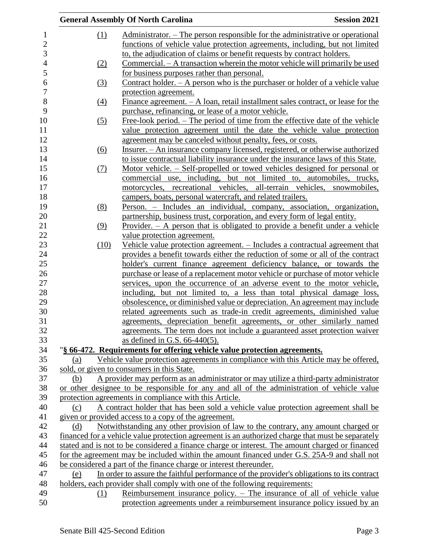|     |      | <b>General Assembly Of North Carolina</b>                                                                                                        | <b>Session 2021</b> |
|-----|------|--------------------------------------------------------------------------------------------------------------------------------------------------|---------------------|
|     | (1)  | Administrator. – The person responsible for the administrative or operational                                                                    |                     |
|     |      | functions of vehicle value protection agreements, including, but not limited                                                                     |                     |
|     |      | to, the adjudication of claims or benefit requests by contract holders.                                                                          |                     |
|     | (2)  | Commercial. – A transaction wherein the motor vehicle will primarily be used                                                                     |                     |
|     |      | for business purposes rather than personal.                                                                                                      |                     |
|     | (3)  | Contract holder. $- A$ person who is the purchaser or holder of a vehicle value                                                                  |                     |
|     |      | protection agreement.                                                                                                                            |                     |
|     | (4)  | Finance agreement. $- A$ loan, retail installment sales contract, or lease for the                                                               |                     |
|     |      | purchase, refinancing, or lease of a motor vehicle.                                                                                              |                     |
|     | (5)  | <u>Free-look period. – The period of time from the effective date of the vehicle</u>                                                             |                     |
|     |      | value protection agreement until the date the vehicle value protection                                                                           |                     |
|     |      | agreement may be canceled without penalty, fees, or costs.                                                                                       |                     |
|     | (6)  | Insurer. - An insurance company licensed, registered, or otherwise authorized                                                                    |                     |
|     |      | to issue contractual liability insurance under the insurance laws of this State.                                                                 |                     |
|     | (7)  | Motor vehicle. – Self-propelled or towed vehicles designed for personal or                                                                       |                     |
|     |      | commercial use, including, but not limited to, automobiles, trucks,                                                                              |                     |
|     |      | motorcycles, recreational vehicles, all-terrain vehicles, snowmobiles,                                                                           |                     |
|     |      | campers, boats, personal watercraft, and related trailers.                                                                                       |                     |
|     | (8)  | Person. - Includes an individual, company, association, organization,                                                                            |                     |
|     |      | partnership, business trust, corporation, and every form of legal entity.                                                                        |                     |
|     | (9)  | Provider. $-$ A person that is obligated to provide a benefit under a vehicle                                                                    |                     |
|     |      | value protection agreement.                                                                                                                      |                     |
|     | (10) | Vehicle value protection agreement. - Includes a contractual agreement that                                                                      |                     |
|     |      | provides a benefit towards either the reduction of some or all of the contract                                                                   |                     |
|     |      | holder's current finance agreement deficiency balance, or towards the                                                                            |                     |
|     |      | purchase or lease of a replacement motor vehicle or purchase of motor vehicle                                                                    |                     |
|     |      | services, upon the occurrence of an adverse event to the motor vehicle,                                                                          |                     |
|     |      | including, but not limited to, a less than total physical damage loss,                                                                           |                     |
|     |      | obsolescence, or diminished value or depreciation. An agreement may include                                                                      |                     |
|     |      | related agreements such as trade-in credit agreements, diminished value<br>agreements, depreciation benefit agreements, or other similarly named |                     |
|     |      | agreements. The term does not include a guaranteed asset protection waiver                                                                       |                     |
|     |      | as defined in G.S. $66-440(5)$ .                                                                                                                 |                     |
|     |      | "§ 66-472. Requirements for offering vehicle value protection agreements.                                                                        |                     |
| (a) |      | Vehicle value protection agreements in compliance with this Article may be offered.                                                              |                     |
|     |      | sold, or given to consumers in this State.                                                                                                       |                     |
| (b) |      | A provider may perform as an administrator or may utilize a third-party administrator                                                            |                     |
|     |      | or other designee to be responsible for any and all of the administration of vehicle value                                                       |                     |
|     |      | protection agreements in compliance with this Article.                                                                                           |                     |
| (c) |      | A contract holder that has been sold a vehicle value protection agreement shall be                                                               |                     |
|     |      | given or provided access to a copy of the agreement.                                                                                             |                     |
| (d) |      | Notwithstanding any other provision of law to the contrary, any amount charged or                                                                |                     |
|     |      | financed for a vehicle value protection agreement is an authorized charge that must be separately                                                |                     |
|     |      | stated and is not to be considered a finance charge or interest. The amount charged or financed                                                  |                     |
|     |      | for the agreement may be included within the amount financed under G.S. 25A-9 and shall not                                                      |                     |
|     |      | be considered a part of the finance charge or interest thereunder.                                                                               |                     |
| (e) |      | In order to assure the faithful performance of the provider's obligations to its contract                                                        |                     |
|     |      | holders, each provider shall comply with one of the following requirements:                                                                      |                     |
|     | (1)  | Reimbursement insurance policy. – The insurance of all of vehicle value                                                                          |                     |
|     |      | protection agreements under a reimbursement insurance policy issued by an                                                                        |                     |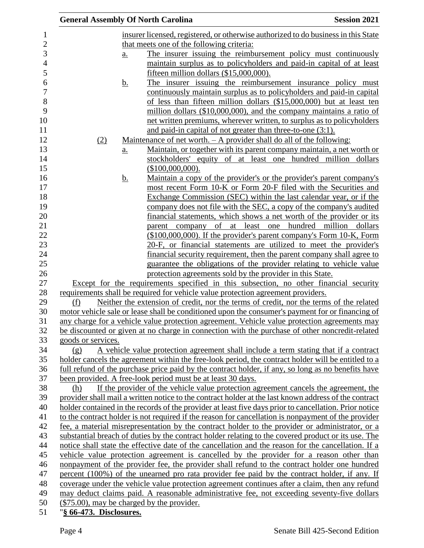|                         | <b>General Assembly Of North Carolina</b>                   |                                                                                                                                                                           | <b>Session 2021</b> |
|-------------------------|-------------------------------------------------------------|---------------------------------------------------------------------------------------------------------------------------------------------------------------------------|---------------------|
|                         |                                                             | insurer licensed, registered, or otherwise authorized to do business in this State                                                                                        |                     |
|                         | that meets one of the following criteria:                   |                                                                                                                                                                           |                     |
|                         | $\underline{\mathbf{a}}$ .                                  | The insurer issuing the reimbursement policy must continuously                                                                                                            |                     |
|                         |                                                             | maintain surplus as to policyholders and paid-in capital of at least                                                                                                      |                     |
|                         |                                                             | fifteen million dollars (\$15,000,000).                                                                                                                                   |                     |
|                         | <u>b.</u>                                                   | The insurer issuing the reimbursement insurance policy must                                                                                                               |                     |
|                         |                                                             | continuously maintain surplus as to policyholders and paid-in capital                                                                                                     |                     |
|                         |                                                             | of less than fifteen million dollars (\$15,000,000) but at least ten                                                                                                      |                     |
|                         |                                                             | million dollars (\$10,000,000), and the company maintains a ratio of                                                                                                      |                     |
|                         |                                                             | net written premiums, wherever written, to surplus as to policyholders                                                                                                    |                     |
|                         |                                                             | and paid-in capital of not greater than three-to-one (3:1).                                                                                                               |                     |
| (2)                     |                                                             | <u>Maintenance of net worth. <math>- A</math> provider shall do all of the following:</u>                                                                                 |                     |
|                         | $\underline{a}$ .                                           | <u>Maintain, or together with its parent company maintain, a net worth or</u>                                                                                             |                     |
|                         |                                                             | stockholders' equity of at least one hundred million dollars                                                                                                              |                     |
|                         | (\$100,000,000).                                            |                                                                                                                                                                           |                     |
|                         | <u>b.</u>                                                   | Maintain a copy of the provider's or the provider's parent company's                                                                                                      |                     |
|                         |                                                             | most recent Form 10-K or Form 20-F filed with the Securities and                                                                                                          |                     |
|                         |                                                             | Exchange Commission (SEC) within the last calendar year, or if the                                                                                                        |                     |
|                         |                                                             | company does not file with the SEC, a copy of the company's audited                                                                                                       |                     |
|                         |                                                             | financial statements, which shows a net worth of the provider or its                                                                                                      |                     |
|                         |                                                             | parent company of at least one hundred million dollars                                                                                                                    |                     |
|                         |                                                             | (\$100,000,000). If the provider's parent company's Form 10-K, Form                                                                                                       |                     |
|                         |                                                             | 20-F, or financial statements are utilized to meet the provider's                                                                                                         |                     |
|                         |                                                             | financial security requirement, then the parent company shall agree to                                                                                                    |                     |
|                         |                                                             | guarantee the obligations of the provider relating to vehicle value                                                                                                       |                     |
|                         |                                                             | protection agreements sold by the provider in this State.                                                                                                                 |                     |
|                         |                                                             | Except for the requirements specified in this subsection, no other financial security<br>requirements shall be required for vehicle value protection agreement providers. |                     |
| (f)                     |                                                             | Neither the extension of credit, nor the terms of credit, nor the terms of the related                                                                                    |                     |
|                         |                                                             | motor vehicle sale or lease shall be conditioned upon the consumer's payment for or financing of                                                                          |                     |
|                         |                                                             | any charge for a vehicle value protection agreement. Vehicle value protection agreements may                                                                              |                     |
|                         |                                                             | be discounted or given at no charge in connection with the purchase of other noncredit-related                                                                            |                     |
| goods or services.      |                                                             |                                                                                                                                                                           |                     |
| (g)                     |                                                             | A vehicle value protection agreement shall include a term stating that if a contract                                                                                      |                     |
|                         |                                                             | holder cancels the agreement within the free-look period, the contract holder will be entitled to a                                                                       |                     |
|                         |                                                             | full refund of the purchase price paid by the contract holder, if any, so long as no benefits have                                                                        |                     |
|                         | been provided. A free-look period must be at least 30 days. |                                                                                                                                                                           |                     |
| (h)                     |                                                             | If the provider of the vehicle value protection agreement cancels the agreement, the                                                                                      |                     |
|                         |                                                             | provider shall mail a written notice to the contract holder at the last known address of the contract                                                                     |                     |
|                         |                                                             | holder contained in the records of the provider at least five days prior to cancellation. Prior notice                                                                    |                     |
|                         |                                                             | to the contract holder is not required if the reason for cancellation is nonpayment of the provider                                                                       |                     |
|                         |                                                             | fee, a material misrepresentation by the contract holder to the provider or administrator, or a                                                                           |                     |
|                         |                                                             | substantial breach of duties by the contract holder relating to the covered product or its use. The                                                                       |                     |
|                         |                                                             | notice shall state the effective date of the cancellation and the reason for the cancellation. If a                                                                       |                     |
|                         |                                                             | vehicle value protection agreement is cancelled by the provider for a reason other than                                                                                   |                     |
|                         |                                                             | nonpayment of the provider fee, the provider shall refund to the contract holder one hundred                                                                              |                     |
|                         |                                                             | percent (100%) of the unearned pro rata provider fee paid by the contract holder, if any. If                                                                              |                     |
|                         |                                                             | coverage under the vehicle value protection agreement continues after a claim, then any refund                                                                            |                     |
|                         |                                                             | may deduct claims paid. A reasonable administrative fee, not exceeding seventy-five dollars                                                                               |                     |
|                         | (\$75.00), may be charged by the provider.                  |                                                                                                                                                                           |                     |
| "§ 66-473. Disclosures. |                                                             |                                                                                                                                                                           |                     |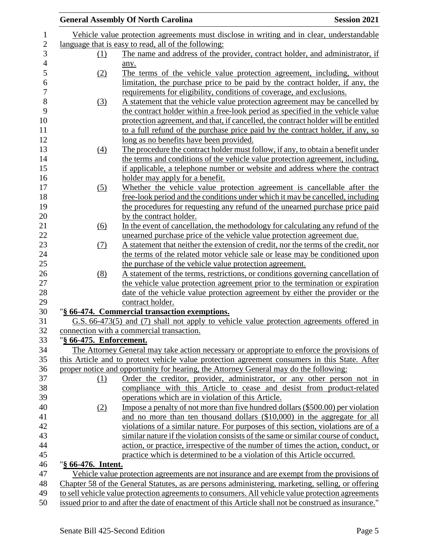|                         | <b>General Assembly Of North Carolina</b>                                                             | <b>Session 2021</b> |
|-------------------------|-------------------------------------------------------------------------------------------------------|---------------------|
|                         | Vehicle value protection agreements must disclose in writing and in clear, understandable             |                     |
|                         | language that is easy to read, all of the following:                                                  |                     |
| (1)                     | The name and address of the provider, contract holder, and administrator, if                          |                     |
|                         | any.                                                                                                  |                     |
| (2)                     | The terms of the vehicle value protection agreement, including, without                               |                     |
|                         | limitation, the purchase price to be paid by the contract holder, if any, the                         |                     |
|                         | requirements for eligibility, conditions of coverage, and exclusions.                                 |                     |
| (3)                     | A statement that the vehicle value protection agreement may be cancelled by                           |                     |
|                         | the contract holder within a free-look period as specified in the vehicle value                       |                     |
|                         | protection agreement, and that, if cancelled, the contract holder will be entitled                    |                     |
|                         | to a full refund of the purchase price paid by the contract holder, if any, so                        |                     |
|                         | <u>long as no benefits have been provided.</u>                                                        |                     |
| $\left(4\right)$        | The procedure the contract holder must follow, if any, to obtain a benefit under                      |                     |
|                         | the terms and conditions of the vehicle value protection agreement, including,                        |                     |
|                         | if applicable, a telephone number or website and address where the contract                           |                     |
|                         | holder may apply for a benefit.                                                                       |                     |
| (5)                     | Whether the vehicle value protection agreement is cancellable after the                               |                     |
|                         | free-look period and the conditions under which it may be cancelled, including                        |                     |
|                         | the procedures for requesting any refund of the unearned purchase price paid                          |                     |
|                         | by the contract holder.                                                                               |                     |
| (6)                     | In the event of cancellation, the methodology for calculating any refund of the                       |                     |
|                         | unearned purchase price of the vehicle value protection agreement due.                                |                     |
| (7)                     | A statement that neither the extension of credit, nor the terms of the credit, nor                    |                     |
|                         | the terms of the related motor vehicle sale or lease may be conditioned upon                          |                     |
|                         | the purchase of the vehicle value protection agreement.                                               |                     |
| (8)                     | A statement of the terms, restrictions, or conditions governing cancellation of                       |                     |
|                         | the vehicle value protection agreement prior to the termination or expiration                         |                     |
|                         | date of the vehicle value protection agreement by either the provider or the                          |                     |
|                         | contract holder.                                                                                      |                     |
|                         | "§ 66-474. Commercial transaction exemptions.                                                         |                     |
|                         | G.S. 66-473(5) and (7) shall not apply to vehicle value protection agreements offered in              |                     |
|                         | connection with a commercial transaction.                                                             |                     |
| "§ 66-475. Enforcement. |                                                                                                       |                     |
|                         | The Attorney General may take action necessary or appropriate to enforce the provisions of            |                     |
|                         | this Article and to protect vehicle value protection agreement consumers in this State. After         |                     |
|                         | proper notice and opportunity for hearing, the Attorney General may do the following:                 |                     |
| (1)                     | Order the creditor, provider, administrator, or any other person not in                               |                     |
|                         | compliance with this Article to cease and desist from product-related                                 |                     |
|                         | operations which are in violation of this Article.                                                    |                     |
| (2)                     | Impose a penalty of not more than five hundred dollars (\$500.00) per violation                       |                     |
|                         | and no more than ten thousand dollars (\$10,000) in the aggregate for all                             |                     |
|                         | violations of a similar nature. For purposes of this section, violations are of a                     |                     |
|                         | similar nature if the violation consists of the same or similar course of conduct,                    |                     |
|                         | action, or practice, irrespective of the number of times the action, conduct, or                      |                     |
|                         | practice which is determined to be a violation of this Article occurred.                              |                     |
| "§ 66-476. Intent.      |                                                                                                       |                     |
|                         | Vehicle value protection agreements are not insurance and are exempt from the provisions of           |                     |
|                         | Chapter 58 of the General Statutes, as are persons administering, marketing, selling, or offering     |                     |
|                         | to sell vehicle value protection agreements to consumers. All vehicle value protection agreements     |                     |
|                         | issued prior to and after the date of enactment of this Article shall not be construed as insurance." |                     |